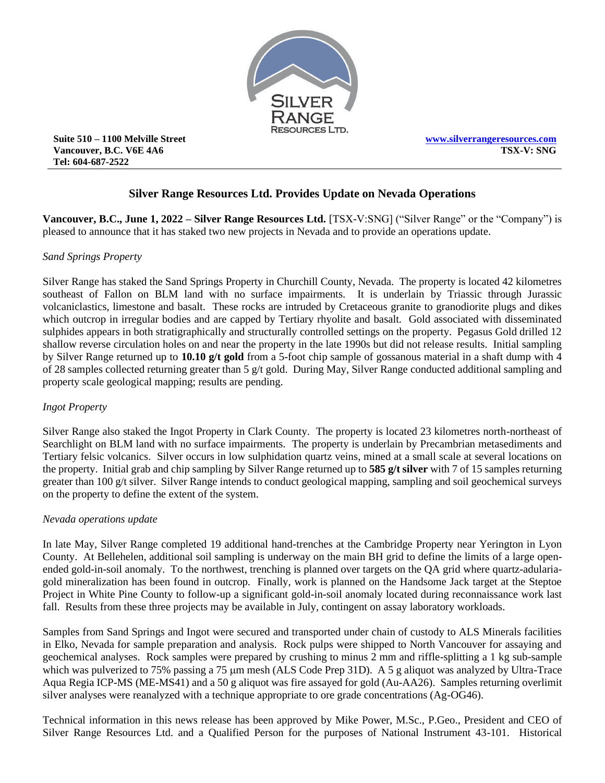

**Suite 510 – 1100 Melville Street Vancouver, B.C. V6E 4A6 Tel: 604-687-2522**

# **Silver Range Resources Ltd. Provides Update on Nevada Operations**

**Vancouver, B.C., June 1, 2022 – Silver Range Resources Ltd.** [TSX-V:SNG] ("Silver Range" or the "Company") is pleased to announce that it has staked two new projects in Nevada and to provide an operations update.

#### *Sand Springs Property*

Silver Range has staked the Sand Springs Property in Churchill County, Nevada. The property is located 42 kilometres southeast of Fallon on BLM land with no surface impairments. It is underlain by Triassic through Jurassic volcaniclastics, limestone and basalt. These rocks are intruded by Cretaceous granite to granodiorite plugs and dikes which outcrop in irregular bodies and are capped by Tertiary rhyolite and basalt. Gold associated with disseminated sulphides appears in both stratigraphically and structurally controlled settings on the property. Pegasus Gold drilled 12 shallow reverse circulation holes on and near the property in the late 1990s but did not release results. Initial sampling by Silver Range returned up to **10.10 g/t gold** from a 5-foot chip sample of gossanous material in a shaft dump with 4 of 28 samples collected returning greater than 5 g/t gold. During May, Silver Range conducted additional sampling and property scale geological mapping; results are pending.

#### *Ingot Property*

Silver Range also staked the Ingot Property in Clark County. The property is located 23 kilometres north-northeast of Searchlight on BLM land with no surface impairments. The property is underlain by Precambrian metasediments and Tertiary felsic volcanics. Silver occurs in low sulphidation quartz veins, mined at a small scale at several locations on the property. Initial grab and chip sampling by Silver Range returned up to **585 g/t silver** with 7 of 15 samples returning greater than 100 g/t silver. Silver Range intends to conduct geological mapping, sampling and soil geochemical surveys on the property to define the extent of the system.

#### *Nevada operations update*

In late May, Silver Range completed 19 additional hand-trenches at the Cambridge Property near Yerington in Lyon County. At Bellehelen, additional soil sampling is underway on the main BH grid to define the limits of a large openended gold-in-soil anomaly. To the northwest, trenching is planned over targets on the QA grid where quartz-adulariagold mineralization has been found in outcrop. Finally, work is planned on the Handsome Jack target at the Steptoe Project in White Pine County to follow-up a significant gold-in-soil anomaly located during reconnaissance work last fall. Results from these three projects may be available in July, contingent on assay laboratory workloads.

Samples from Sand Springs and Ingot were secured and transported under chain of custody to ALS Minerals facilities in Elko, Nevada for sample preparation and analysis. Rock pulps were shipped to North Vancouver for assaying and geochemical analyses. Rock samples were prepared by crushing to minus 2 mm and riffle-splitting a 1 kg sub-sample which was pulverized to 75% passing a 75 µm mesh (ALS Code Prep 31D). A 5 g aliquot was analyzed by Ultra-Trace Aqua Regia ICP-MS (ME-MS41) and a 50 g aliquot was fire assayed for gold (Au-AA26). Samples returning overlimit silver analyses were reanalyzed with a technique appropriate to ore grade concentrations (Ag-OG46).

Technical information in this news release has been approved by Mike Power, M.Sc., P.Geo., President and CEO of Silver Range Resources Ltd. and a Qualified Person for the purposes of National Instrument 43-101. Historical